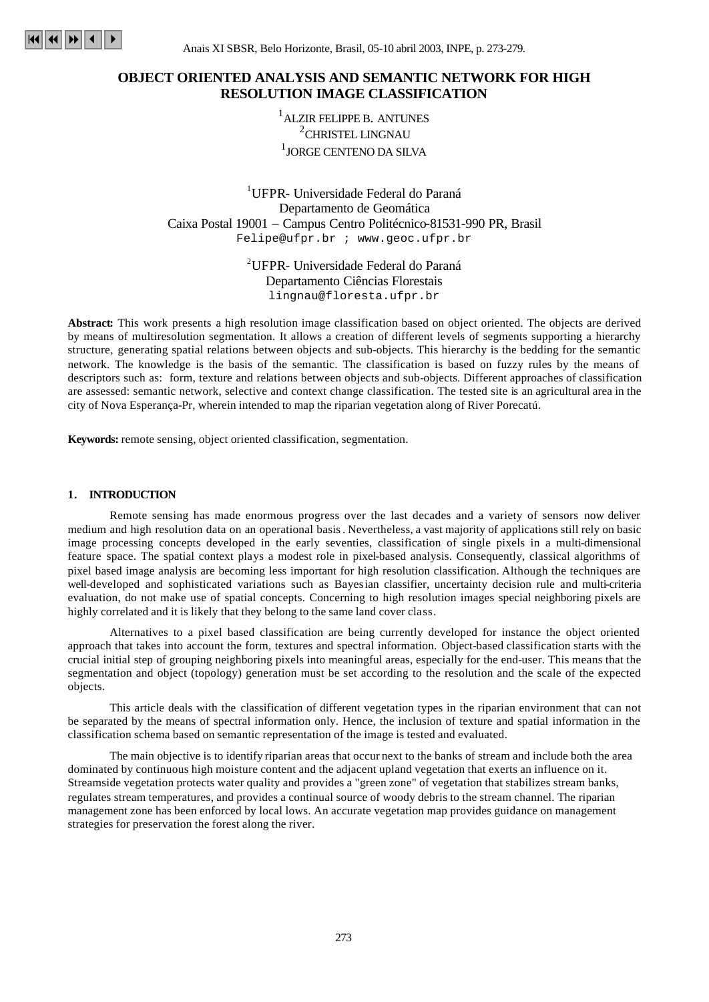

Anais XI SBSR, Belo Horizonte, Brasil, 05-10 abril 2003, INPE, p. 273-279.

# **OBJECT ORIENTED ANALYSIS AND SEMANTIC NETWORK FOR HIGH RESOLUTION IMAGE CLASSIFICATION**

<sup>1</sup> ALZIR FELIPPE B. ANTUNES <sup>2</sup>CHRISTEL LINGNAU  $^{\rm l}$  JORGE CENTENO DA SILVA

<sup>1</sup>UFPR- Universidade Federal do Paraná Departamento de Geomática Caixa Postal 19001 – Campus Centro Politécnico-81531-990 PR, Brasil Felipe@ufpr.br ; www.geoc.ufpr.br

> <sup>2</sup>UFPR- Universidade Federal do Paraná Departamento Ciências Florestais lingnau@floresta.ufpr.br

**Abstract:** This work presents a high resolution image classification based on object oriented. The objects are derived by means of multiresolution segmentation. It allows a creation of different levels of segments supporting a hierarchy structure, generating spatial relations between objects and sub-objects. This hierarchy is the bedding for the semantic network. The knowledge is the basis of the semantic. The classification is based on fuzzy rules by the means of descriptors such as: form, texture and relations between objects and sub-objects. Different approaches of classification are assessed: semantic network, selective and context change classification. The tested site is an agricultural area in the city of Nova Esperança-Pr, wherein intended to map the riparian vegetation along of River Porecatú.

**Keywords:** remote sensing, object oriented classification, segmentation.

### **1. INTRODUCTION**

Remote sensing has made enormous progress over the last decades and a variety of sensors now deliver medium and high resolution data on an operational basis. Nevertheless, a vast majority of applications still rely on basic image processing concepts developed in the early seventies, classification of single pixels in a multi-dimensional feature space. The spatial context plays a modest role in pixel-based analysis. Consequently, classical algorithms of pixel based image analysis are becoming less important for high resolution classification. Although the techniques are well-developed and sophisticated variations such as Bayesian classifier, uncertainty decision rule and multi-criteria evaluation, do not make use of spatial concepts. Concerning to high resolution images special neighboring pixels are highly correlated and it is likely that they belong to the same land cover class.

Alternatives to a pixel based classification are being currently developed for instance the object oriented approach that takes into account the form, textures and spectral information. Object-based classification starts with the crucial initial step of grouping neighboring pixels into meaningful areas, especially for the end-user. This means that the segmentation and object (topology) generation must be set according to the resolution and the scale of the expected objects.

This article deals with the classification of different vegetation types in the riparian environment that can not be separated by the means of spectral information only. Hence, the inclusion of texture and spatial information in the classification schema based on semantic representation of the image is tested and evaluated.

The main objective is to identify riparian areas that occur next to the banks of stream and include both the area dominated by continuous high moisture content and the adjacent upland vegetation that exerts an influence on it. Streamside vegetation protects water quality and provides a "green zone" of vegetation that stabilizes stream banks, regulates stream temperatures, and provides a continual source of woody debris to the stream channel. The riparian management zone has been enforced by local lows. An accurate vegetation map provides guidance on management strategies for preservation the forest along the river.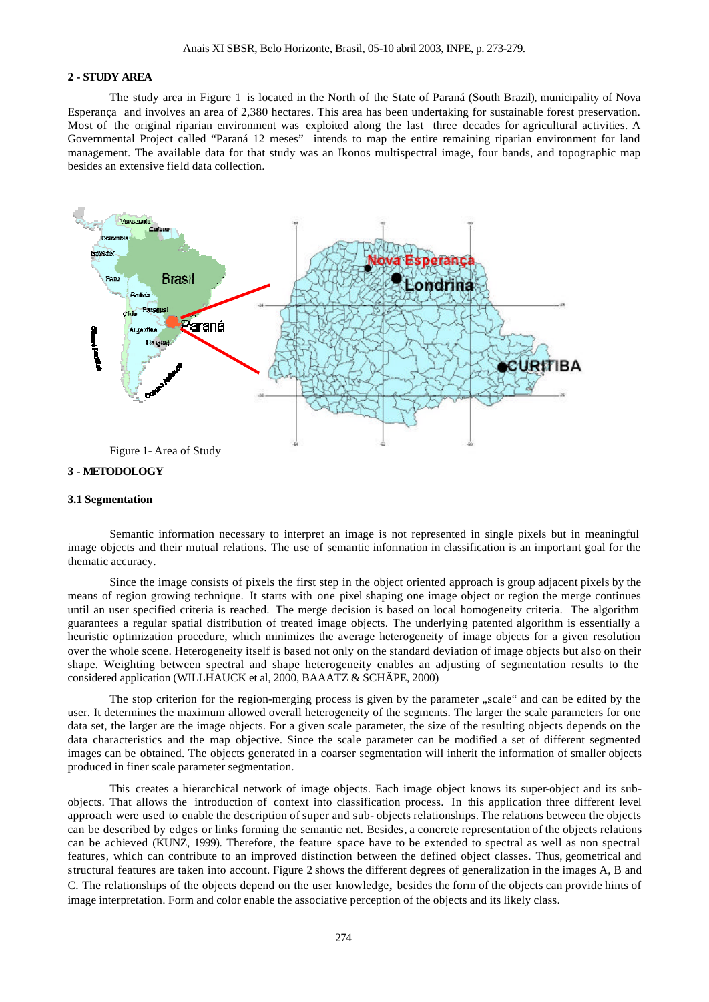#### **2 - STUDY AREA**

The study area in Figure 1 is located in the North of the State of Paraná (South Brazil), municipality of Nova Esperança and involves an area of 2,380 hectares. This area has been undertaking for sustainable forest preservation. Most of the original riparian environment was exploited along the last three decades for agricultural activities. A Governmental Project called "Paraná 12 meses" intends to map the entire remaining riparian environment for land management. The available data for that study was an Ikonos multispectral image, four bands, and topographic map besides an extensive field data collection.



### **3 - METODOLOGY**

#### **3.1 Segmentation**

Semantic information necessary to interpret an image is not represented in single pixels but in meaningful image objects and their mutual relations. The use of semantic information in classification is an important goal for the thematic accuracy.

Since the image consists of pixels the first step in the object oriented approach is group adjacent pixels by the means of region growing technique. It starts with one pixel shaping one image object or region the merge continues until an user specified criteria is reached. The merge decision is based on local homogeneity criteria. The algorithm guarantees a regular spatial distribution of treated image objects. The underlying patented algorithm is essentially a heuristic optimization procedure, which minimizes the average heterogeneity of image objects for a given resolution over the whole scene. Heterogeneity itself is based not only on the standard deviation of image objects but also on their shape. Weighting between spectral and shape heterogeneity enables an adjusting of segmentation results to the considered application (WILLHAUCK et al, 2000, BAAATZ & SCHÄPE, 2000)

The stop criterion for the region-merging process is given by the parameter "scale" and can be edited by the user. It determines the maximum allowed overall heterogeneity of the segments. The larger the scale parameters for one data set, the larger are the image objects. For a given scale parameter, the size of the resulting objects depends on the data characteristics and the map objective. Since the scale parameter can be modified a set of different segmented images can be obtained. The objects generated in a coarser segmentation will inherit the information of smaller objects produced in finer scale parameter segmentation.

This creates a hierarchical network of image objects. Each image object knows its super-object and its subobjects. That allows the introduction of context into classification process. In this application three different level approach were used to enable the description of super and sub- objects relationships. The relations between the objects can be described by edges or links forming the semantic net. Besides, a concrete representation of the objects relations can be achieved (KUNZ, 1999). Therefore, the feature space have to be extended to spectral as well as non spectral features, which can contribute to an improved distinction between the defined object classes. Thus, geometrical and structural features are taken into account. Figure 2 shows the different degrees of generalization in the images A, B and C. The relationships of the objects depend on the user knowledge, besides the form of the objects can provide hints of image interpretation. Form and color enable the associative perception of the objects and its likely class.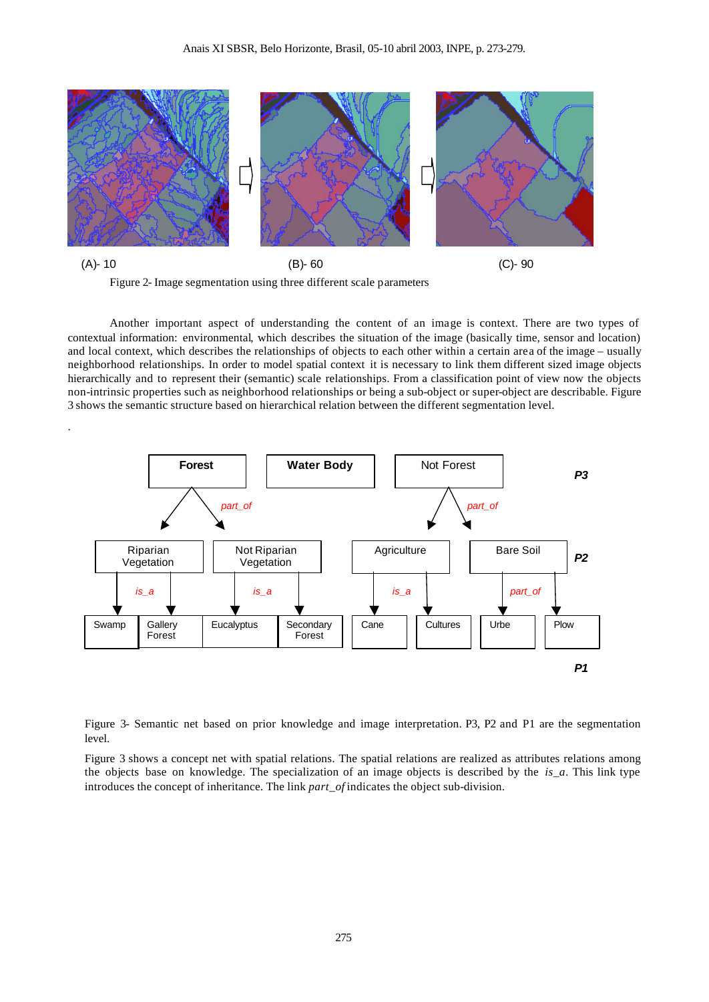



.

Another important aspect of understanding the content of an image is context. There are two types of contextual information: environmental, which describes the situation of the image (basically time, sensor and location) and local context, which describes the relationships of objects to each other within a certain area of the image – usually neighborhood relationships. In order to model spatial context it is necessary to link them different sized image objects hierarchically and to represent their (semantic) scale relationships. From a classification point of view now the objects non-intrinsic properties such as neighborhood relationships or being a sub-object or super-object are describable. Figure 3 shows the semantic structure based on hierarchical relation between the different segmentation level.



Figure 3- Semantic net based on prior knowledge and image interpretation. P3, P2 and P1 are the segmentation level.

Figure 3 shows a concept net with spatial relations. The spatial relations are realized as attributes relations among the objects base on knowledge. The specialization of an image objects is described by the *is\_a*. This link type introduces the concept of inheritance. The link *part\_of* indicates the object sub-division.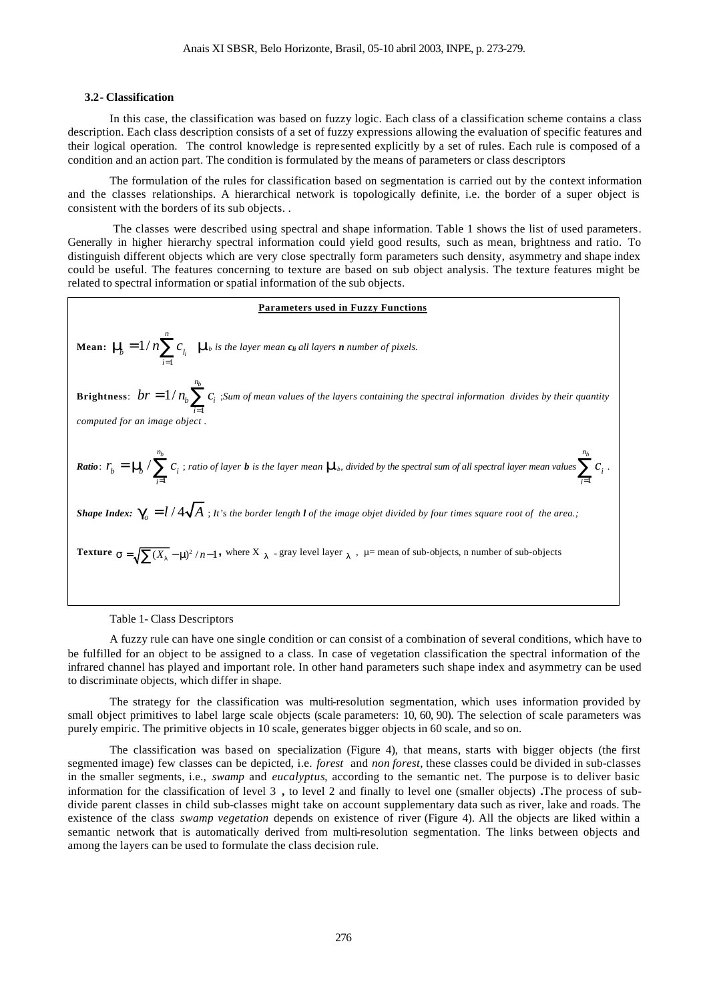#### **3.2- Classification**

In this case, the classification was based on fuzzy logic. Each class of a classification scheme contains a class description. Each class description consists of a set of fuzzy expressions allowing the evaluation of specific features and their logical operation. The control knowledge is represented explicitly by a set of rules. Each rule is composed of a condition and an action part. The condition is formulated by the means of parameters or class descriptors

The formulation of the rules for classification based on segmentation is carried out by the context information and the classes relationships. A hierarchical network is topologically definite, i.e. the border of a super object is consistent with the borders of its sub objects. .

 The classes were described using spectral and shape information. Table 1 shows the list of used parameters. Generally in higher hierarchy spectral information could yield good results, such as mean, brightness and ratio. To distinguish different objects which are very close spectrally form parameters such density, asymmetry and shape index could be useful. The features concerning to texture are based on sub object analysis. The texture features might be related to spectral information or spatial information of the sub objects.

| Parameters used in Fuzzy Functions                                                                                                                                                   |
|--------------------------------------------------------------------------------------------------------------------------------------------------------------------------------------|
| Mean: $m_{\overline{b}} = 1/n \sum_{i=1}^{n} c_{l_i}$ $m_k$ is the layer mean $c_{li}$ all layers <b>n</b> number of pixels.                                                         |
| Brighness: $br = 1/n_b \sum_{i=1}^{n_b} c_i$ ; Sum of mean values of the layers containing the spectral information divides by their quantity computed for an image object.          |
| Ratio: $r_b = m_b / \sum_{i=1}^{n_b} c_i$ ; ratio of layer <b>b</b> is the layer mean $m_b$ , divided by the spectral sum of all spectral layer mean values $\sum_{i=1}^{n_b} c_i$ . |
| Shape Index: $g_i = l / 4\sqrt{A}$ ; It's the border length $l$ of the image object divided by four times square root of the area;                                                   |
| Texture $s = \sqrt{\sum (X_i - m)^2 / n - 1}$ , where $X_{l_i} = \text{gray level layer } l_i$ , $\mu = \text{mean of sub-objects}$ , $n$ number of sub-objects.                     |

Table 1- Class Descriptors

A fuzzy rule can have one single condition or can consist of a combination of several conditions, which have to be fulfilled for an object to be assigned to a class. In case of vegetation classification the spectral information of the infrared channel has played and important role. In other hand parameters such shape index and asymmetry can be used to discriminate objects, which differ in shape.

The strategy for the classification was multi-resolution segmentation, which uses information provided by small object primitives to label large scale objects (scale parameters: 10, 60, 90). The selection of scale parameters was purely empiric. The primitive objects in 10 scale, generates bigger objects in 60 scale, and so on.

The classification was based on specialization (Figure 4), that means, starts with bigger objects (the first segmented image) few classes can be depicted, i.e. *forest* and *non forest*, these classes could be divided in sub-classes in the smaller segments, i.e., *swamp* and *eucalyptus*, according to the semantic net. The purpose is to deliver basic information for the classification of level 3 **,** to level 2 and finally to level one (smaller objects) **.**The process of subdivide parent classes in child sub-classes might take on account supplementary data such as river, lake and roads. The existence of the class *swamp vegetation* depends on existence of river (Figure 4). All the objects are liked within a semantic network that is automatically derived from multi-resolution segmentation. The links between objects and among the layers can be used to formulate the class decision rule.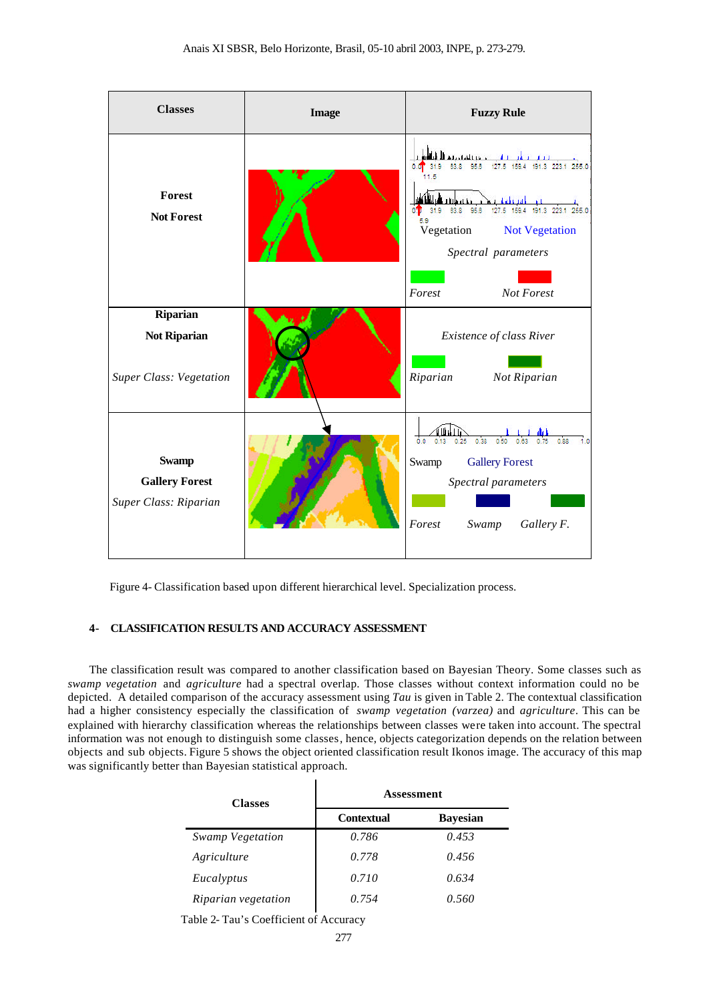| <b>Classes</b>                                                    | <b>Image</b> | <b>Fuzzy Rule</b>                                                                                                                                                                                                       |
|-------------------------------------------------------------------|--------------|-------------------------------------------------------------------------------------------------------------------------------------------------------------------------------------------------------------------------|
| Forest<br><b>Not Forest</b>                                       |              | astaklines di<br>127.5 159.4 191.3 223.1 255.0<br>95.6<br>63.8<br>1.5<br>95.6<br>31.9<br>63.8<br>255.0<br>127.5<br>159.4<br>191.3<br>5.9<br>Vegetation<br>Not Vegetation<br>Spectral parameters<br>Forest<br>Not Forest |
| Riparian<br><b>Not Riparian</b><br><b>Super Class: Vegetation</b> |              | Existence of class River<br>Riparian<br>Not Riparian                                                                                                                                                                    |
| <b>Swamp</b><br><b>Gallery Forest</b><br>Super Class: Riparian    |              | 0.88<br>0.38<br>0.0<br>0.50<br>0.25<br>Swamp<br><b>Gallery Forest</b><br>Spectral parameters<br>Forest<br>Gallery F.<br>Swamp                                                                                           |

Figure 4- Classification based upon different hierarchical level. Specialization process.

## **4- CLASSIFICATION RESULTS AND ACCURACY ASSESSMENT**

The classification result was compared to another classification based on Bayesian Theory. Some classes such as *swamp vegetation* and *agriculture* had a spectral overlap. Those classes without context information could no be depicted. A detailed comparison of the accuracy assessment using *Tau* is given in Table 2. The contextual classification had a higher consistency especially the classification of *swamp vegetation (varzea)* and *agriculture*. This can be explained with hierarchy classification whereas the relationships between classes were taken into account. The spectral information was not enough to distinguish some classes, hence, objects categorization depends on the relation between objects and sub objects. Figure 5 shows the object oriented classification result Ikonos image. The accuracy of this map was significantly better than Bayesian statistical approach.

| <b>Classes</b>          | Assessment        |                 |
|-------------------------|-------------------|-----------------|
|                         | <b>Contextual</b> | <b>Bayesian</b> |
| <b>Swamp Vegetation</b> | 0.786             | 0.453           |
| Agriculture             | 0.778             | 0.456           |
| Eucalyptus              | 0.710             | 0.634           |
| Riparian vegetation     | 0.754             | 0.560           |

Table 2- Tau's Coefficient of Accuracy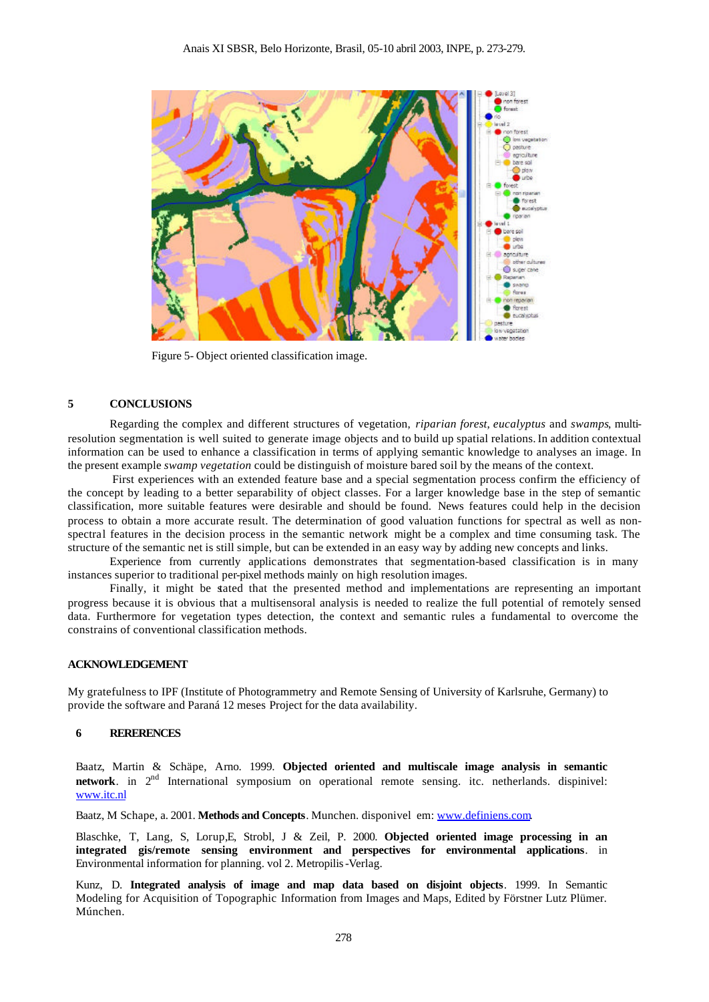

Figure 5- Object oriented classification image.

#### **5 CONCLUSIONS**

Regarding the complex and different structures of vegetation, *riparian forest*, *eucalyptus* and *swamps*, multiresolution segmentation is well suited to generate image objects and to build up spatial relations. In addition contextual information can be used to enhance a classification in terms of applying semantic knowledge to analyses an image. In the present example *swamp vegetation* could be distinguish of moisture bared soil by the means of the context.

First experiences with an extended feature base and a special segmentation process confirm the efficiency of the concept by leading to a better separability of object classes. For a larger knowledge base in the step of semantic classification, more suitable features were desirable and should be found. News features could help in the decision process to obtain a more accurate result. The determination of good valuation functions for spectral as well as nonspectral features in the decision process in the semantic network might be a complex and time consuming task. The structure of the semantic net is still simple, but can be extended in an easy way by adding new concepts and links.

Experience from currently applications demonstrates that segmentation-based classification is in many instances superior to traditional per-pixel methods mainly on high resolution images.

Finally, it might be stated that the presented method and implementations are representing an important progress because it is obvious that a multisensoral analysis is needed to realize the full potential of remotely sensed data. Furthermore for vegetation types detection, the context and semantic rules a fundamental to overcome the constrains of conventional classification methods.

#### **ACKNOWLEDGEMENT**

My gratefulness to IPF (Institute of Photogrammetry and Remote Sensing of University of Karlsruhe, Germany) to provide the software and Paraná 12 meses Project for the data availability.

#### **6 RERERENCES**

Baatz, Martin & Schäpe, Arno. 1999. **Objected oriented and multiscale image analysis in semantic** network. in 2<sup>nd</sup> International symposium on operational remote sensing. itc. netherlands. dispinivel: www.itc.nl

Baatz, M Schape, a. 2001. **Methods and Concepts**. Munchen. disponivel em: www.definiens.com.

Blaschke, T, Lang, S, Lorup,E, Strobl, J & Zeil, P. 2000. **Objected oriented image processing in an integrated gis/remote sensing environment and perspectives for environmental applications**. in Environmental information for planning. vol 2. Metropilis-Verlag.

Kunz, D. **Integrated analysis of image and map data based on disjoint objects**. 1999. In Semantic Modeling for Acquisition of Topographic Information from Images and Maps, Edited by Förstner Lutz Plümer. Múnchen.